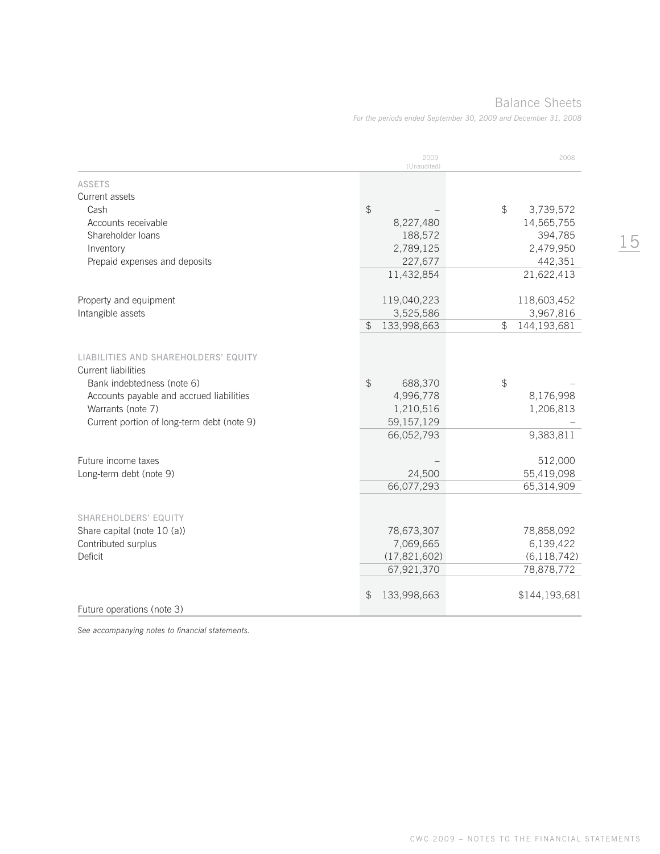## Balance Sheets

*For the periods ended September 30, 2009 and December 31, 2008*

|                                                                                                                                                            | 2009<br>(Unaudited)                                              | 2008                             |
|------------------------------------------------------------------------------------------------------------------------------------------------------------|------------------------------------------------------------------|----------------------------------|
| <b>ASSETS</b>                                                                                                                                              |                                                                  |                                  |
| Current assets                                                                                                                                             |                                                                  |                                  |
| Cash                                                                                                                                                       | $\frac{1}{2}$                                                    | $$\mathbb{S}$$<br>3,739,572      |
| Accounts receivable                                                                                                                                        | 8,227,480                                                        | 14,565,755                       |
| Shareholder loans                                                                                                                                          | 188,572                                                          | 394,785                          |
| Inventory                                                                                                                                                  | 2,789,125                                                        | 2,479,950                        |
| Prepaid expenses and deposits                                                                                                                              | 227,677                                                          | 442,351                          |
|                                                                                                                                                            | 11,432,854                                                       | 21,622,413                       |
| Property and equipment                                                                                                                                     | 119,040,223                                                      | 118,603,452                      |
| Intangible assets                                                                                                                                          | 3,525,586                                                        | 3,967,816                        |
|                                                                                                                                                            | \$<br>133,998,663                                                | $\textcircled{f}$<br>144,193,681 |
| LIABILITIES AND SHAREHOLDERS' EQUITY<br>Current liabilities<br>Bank indebtedness (note 6)<br>Accounts payable and accrued liabilities<br>Warrants (note 7) | $\frac{1}{2}$<br>688,370<br>4,996,778<br>1,210,516<br>59,157,129 | \$<br>8,176,998<br>1,206,813     |
| Current portion of long-term debt (note 9)                                                                                                                 | 66,052,793                                                       | 9,383,811                        |
| Future income taxes<br>Long-term debt (note 9)                                                                                                             | 24,500                                                           | 512,000<br>55,419,098            |
|                                                                                                                                                            | 66,077,293                                                       | 65,314,909                       |
| <b>SHAREHOLDERS' EQUITY</b>                                                                                                                                |                                                                  |                                  |
| Share capital (note 10 (a))                                                                                                                                | 78,673,307                                                       | 78,858,092                       |
| Contributed surplus                                                                                                                                        | 7,069,665                                                        | 6,139,422                        |
| Deficit                                                                                                                                                    | (17, 821, 602)                                                   | (6, 118, 742)                    |
|                                                                                                                                                            | 67,921,370                                                       | 78,878,772                       |
| Future operations (note 3)                                                                                                                                 | \$<br>133,998,663                                                | \$144,193,681                    |

*See accompanying notes to financial statements.*

CWC 2009 – NOTES TO THE FINANCIAL STATEMENTS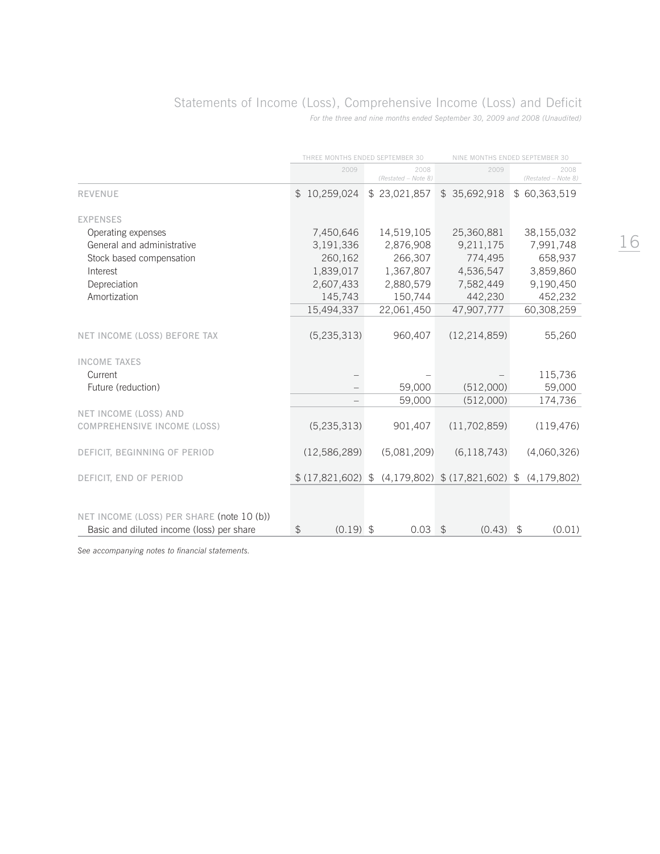# Statements of Income (Loss), Comprehensive Income (Loss) and Deficit

*For the three and nine months ended September 30, 2009 and 2008 (Unaudited)*

|                                           | THREE MONTHS ENDED SEPTEMBER 30 |                             | NINE MONTHS ENDED SEPTEMBER 30                  |                             |  |
|-------------------------------------------|---------------------------------|-----------------------------|-------------------------------------------------|-----------------------------|--|
|                                           | 2009                            | 2008<br>(Restated - Note 8) | 2009                                            | 2008<br>(Restated - Note 8) |  |
| <b>REVENUE</b>                            | \$10,259,024                    | \$23,021,857                | \$35,692,918                                    | \$60,363,519                |  |
| <b>EXPENSES</b>                           |                                 |                             |                                                 |                             |  |
| Operating expenses                        | 7,450,646                       | 14,519,105                  | 25,360,881                                      | 38,155,032                  |  |
| General and administrative                | 3,191,336                       | 2,876,908                   | 9,211,175                                       | 7,991,748                   |  |
| Stock based compensation                  | 260,162                         | 266,307                     | 774,495                                         | 658,937                     |  |
| Interest                                  | 1,839,017                       | 1,367,807                   | 4,536,547                                       | 3,859,860                   |  |
| Depreciation                              | 2,607,433                       | 2,880,579                   | 7,582,449                                       | 9,190,450                   |  |
| Amortization                              | 145,743                         | 150,744                     | 442,230                                         | 452,232                     |  |
|                                           | 15,494,337                      | 22,061,450                  | 47,907,777                                      | 60,308,259                  |  |
| NET INCOME (LOSS) BEFORE TAX              | (5, 235, 313)                   | 960,407                     | (12, 214, 859)                                  | 55,260                      |  |
| <b>INCOME TAXES</b>                       |                                 |                             |                                                 |                             |  |
| Current                                   |                                 |                             |                                                 | 115,736                     |  |
| Future (reduction)                        |                                 | 59,000                      | (512,000)                                       | 59,000                      |  |
|                                           |                                 | 59,000                      | (512,000)                                       | 174,736                     |  |
| NET INCOME (LOSS) AND                     |                                 |                             |                                                 |                             |  |
| COMPREHENSIVE INCOME (LOSS)               | (5, 235, 313)                   | 901,407                     | (11, 702, 859)                                  | (119, 476)                  |  |
| DEFICIT, BEGINNING OF PERIOD              | (12,586,289)                    | (5,081,209)                 | (6, 118, 743)                                   | (4,060,326)                 |  |
| DEFICIT, END OF PERIOD                    |                                 |                             | $$ (17,821,602) $ (4,179,802) $ (17,821,602) $$ | (4, 179, 802)               |  |
|                                           |                                 |                             |                                                 |                             |  |
| NET INCOME (LOSS) PER SHARE (note 10 (b)) |                                 |                             |                                                 |                             |  |
| Basic and diluted income (loss) per share | $(0.19)$ \$<br>$\frac{1}{2}$    | 0.03                        | $\mathfrak{P}$<br>(0.43)                        | (0.01)<br>\$                |  |

*See accompanying notes to financial statements.*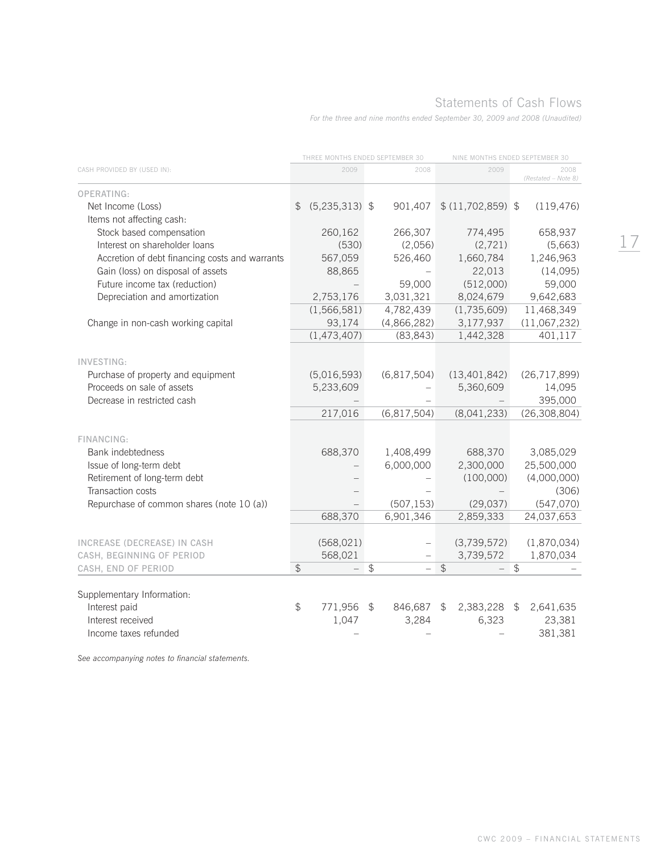# Statements of Cash Flows

*For the three and nine months ended September 30, 2009 and 2008 (Unaudited)*

|                                                         |               | THREE MONTHS ENDED SEPTEMBER 30 |               |                        | NINE MONTHS ENDED SEPTEMBER 30 |                      |               |                             |
|---------------------------------------------------------|---------------|---------------------------------|---------------|------------------------|--------------------------------|----------------------|---------------|-----------------------------|
| CASH PROVIDED BY (USED IN):                             |               | 2009                            |               | 2008                   |                                | 2009                 |               | 2008<br>(Restated - Note 8) |
| OPERATING:                                              |               |                                 |               |                        |                                |                      |               |                             |
| Net Income (Loss)                                       | \$            | $(5,235,313)$ \$                |               | 901,407                |                                | $$(11,702,859)$ \$   |               | (119, 476)                  |
| Items not affecting cash:                               |               |                                 |               |                        |                                |                      |               |                             |
| Stock based compensation                                |               | 260,162                         |               | 266,307                |                                | 774,495              |               | 658,937                     |
| Interest on shareholder loans                           |               | (530)                           |               | (2,056)                |                                | (2,721)              |               | (5,663)                     |
| Accretion of debt financing costs and warrants          |               | 567,059                         |               | 526,460                |                                | 1,660,784            |               | 1,246,963                   |
| Gain (loss) on disposal of assets                       |               | 88,865                          |               |                        |                                | 22,013               |               | (14,095)                    |
| Future income tax (reduction)                           |               |                                 |               | 59,000                 |                                | (512,000)            |               | 59,000                      |
| Depreciation and amortization                           |               | 2,753,176                       |               | 3,031,321              |                                | 8,024,679            |               | 9,642,683                   |
|                                                         |               | (1, 566, 581)                   |               | 4,782,439              |                                | (1,735,609)          |               | 11,468,349                  |
| Change in non-cash working capital                      |               | 93,174                          |               | (4,866,282)            |                                | 3,177,937            |               | (11,067,232)                |
|                                                         |               | (1, 473, 407)                   |               | (83, 843)              |                                | 1,442,328            |               | 401,117                     |
|                                                         |               |                                 |               |                        |                                |                      |               |                             |
| INVESTING:                                              |               |                                 |               |                        |                                |                      |               |                             |
| Purchase of property and equipment                      |               | (5,016,593)                     |               | (6,817,504)            |                                | (13, 401, 842)       |               | (26, 717, 899)              |
| Proceeds on sale of assets                              |               | 5,233,609                       |               |                        |                                | 5,360,609            |               | 14,095                      |
| Decrease in restricted cash                             |               |                                 |               |                        |                                |                      |               | 395,000                     |
|                                                         |               | 217,016                         |               | (6,817,504)            |                                | (8,041,233)          |               | (26, 308, 804)              |
|                                                         |               |                                 |               |                        |                                |                      |               |                             |
| FINANCING:                                              |               |                                 |               |                        |                                |                      |               |                             |
| <b>Bank indebtedness</b>                                |               | 688,370                         |               | 1,408,499<br>6,000,000 |                                | 688,370<br>2,300,000 |               | 3,085,029<br>25,500,000     |
| Issue of long-term debt<br>Retirement of long-term debt |               |                                 |               |                        |                                | (100,000)            |               | (4,000,000)                 |
| Transaction costs                                       |               |                                 |               |                        |                                |                      |               | (306)                       |
| Repurchase of common shares (note 10 (a))               |               |                                 |               | (507, 153)             |                                | (29, 037)            |               | (547,070)                   |
|                                                         |               | 688,370                         |               | 6,901,346              |                                | 2,859,333            |               | 24,037,653                  |
|                                                         |               |                                 |               |                        |                                |                      |               |                             |
| INCREASE (DECREASE) IN CASH                             |               | (568, 021)                      |               |                        |                                | (3,739,572)          |               | (1,870,034)                 |
| CASH, BEGINNING OF PERIOD                               |               | 568,021                         |               |                        |                                | 3,739,572            |               | 1,870,034                   |
| CASH, END OF PERIOD                                     | $\frac{1}{2}$ |                                 | $\frac{1}{2}$ |                        | $\frac{1}{2}$                  |                      | $\frac{1}{2}$ |                             |
|                                                         |               |                                 |               |                        |                                |                      |               |                             |
| Supplementary Information:                              |               |                                 |               |                        |                                |                      |               |                             |
| Interest paid                                           | $\mathcal{L}$ | 771,956                         | \$            | 846,687                | \$                             | 2,383,228 \$         |               | 2,641,635                   |
| Interest received                                       |               | 1,047                           |               | 3,284                  |                                | 6,323                |               | 23,381                      |
| Income taxes refunded                                   |               |                                 |               |                        |                                |                      |               | 381,381                     |

*See accompanying notes to financial statements.*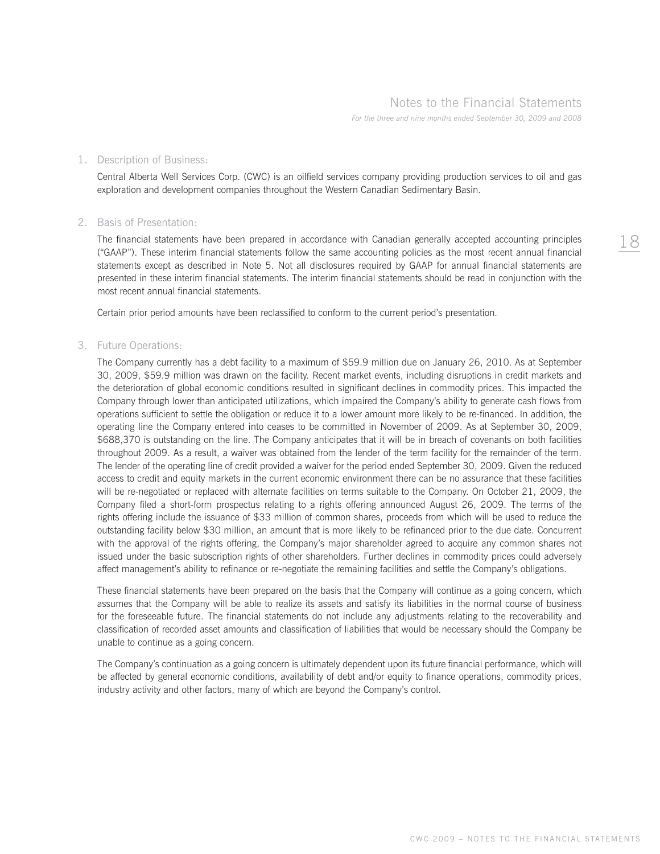## 1. Description of Business:

 Central Alberta Well Services Corp. (CWC) is an oilfield services company providing production services to oil and gas exploration and development companies throughout the Western Canadian Sedimentary Basin.

## 2. Basis of Presentation:

 The financial statements have been prepared in accordance with Canadian generally accepted accounting principles ("GAAP"). These interim financial statements follow the same accounting policies as the most recent annual financial statements except as described in Note 5. Not all disclosures required by GAAP for annual financial statements are presented in these interim financial statements. The interim financial statements should be read in conjunction with the most recent annual financial statements.

Certain prior period amounts have been reclassified to conform to the current period's presentation.

## 3. Future Operations:

 The Company currently has a debt facility to a maximum of \$59.9 million due on January 26, 2010. As at September 30, 2009, \$59.9 million was drawn on the facility. Recent market events, including disruptions in credit markets and the deterioration of global economic conditions resulted in significant declines in commodity prices. This impacted the Company through lower than anticipated utilizations, which impaired the Company's ability to generate cash flows from operations sufficient to settle the obligation or reduce it to a lower amount more likely to be re-financed. In addition, the operating line the Company entered into ceases to be committed in November of 2009. As at September 30, 2009, \$688,370 is outstanding on the line. The Company anticipates that it will be in breach of covenants on both facilities throughout 2009. As a result, a waiver was obtained from the lender of the term facility for the remainder of the term. The lender of the operating line of credit provided a waiver for the period ended September 30, 2009. Given the reduced access to credit and equity markets in the current economic environment there can be no assurance that these facilities will be re-negotiated or replaced with alternate facilities on terms suitable to the Company. On October 21, 2009, the Company filed a short-form prospectus relating to a rights offering announced August 26, 2009. The terms of the rights offering include the issuance of \$33 million of common shares, proceeds from which will be used to reduce the outstanding facility below \$30 million, an amount that is more likely to be refinanced prior to the due date. Concurrent with the approval of the rights offering, the Company's major shareholder agreed to acquire any common shares not issued under the basic subscription rights of other shareholders. Further declines in commodity prices could adversely affect management's ability to refinance or re-negotiate the remaining facilities and settle the Company's obligations.

 These financial statements have been prepared on the basis that the Company will continue as a going concern, which assumes that the Company will be able to realize its assets and satisfy its liabilities in the normal course of business for the foreseeable future. The financial statements do not include any adjustments relating to the recoverability and classification of recorded asset amounts and classification of liabilities that would be necessary should the Company be unable to continue as a going concern.

 The Company's continuation as a going concern is ultimately dependent upon its future financial performance, which will be affected by general economic conditions, availability of debt and/or equity to finance operations, commodity prices, industry activity and other factors, many of which are beyond the Company's control.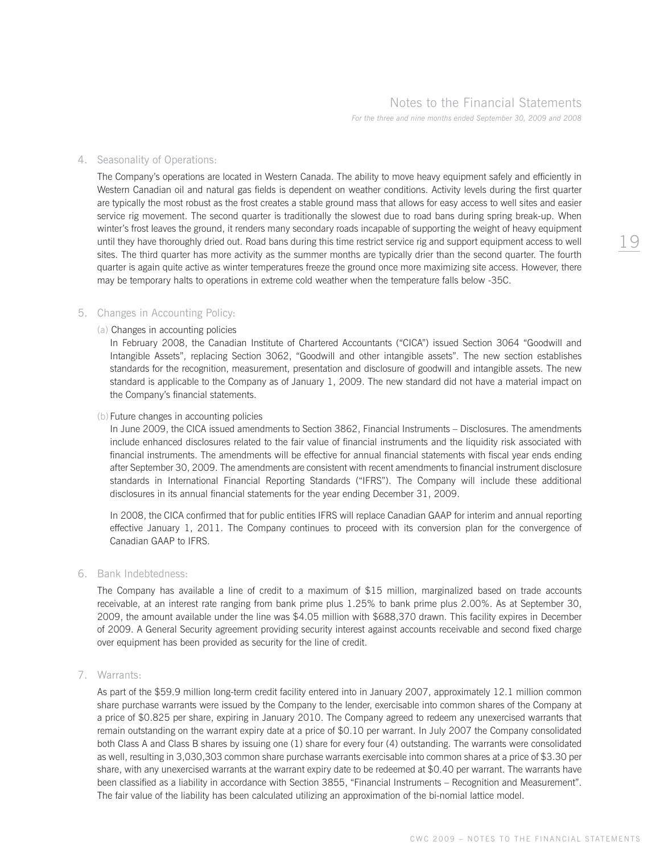## 4. Seasonality of Operations:

 The Company's operations are located in Western Canada. The ability to move heavy equipment safely and efficiently in Western Canadian oil and natural gas fields is dependent on weather conditions. Activity levels during the first quarter are typically the most robust as the frost creates a stable ground mass that allows for easy access to well sites and easier service rig movement. The second quarter is traditionally the slowest due to road bans during spring break-up. When winter's frost leaves the ground, it renders many secondary roads incapable of supporting the weight of heavy equipment until they have thoroughly dried out. Road bans during this time restrict service rig and support equipment access to well sites. The third quarter has more activity as the summer months are typically drier than the second quarter. The fourth quarter is again quite active as winter temperatures freeze the ground once more maximizing site access. However, there may be temporary halts to operations in extreme cold weather when the temperature falls below -35C.

## 5. Changes in Accounting Policy:

### (a) Changes in accounting policies

 In February 2008, the Canadian Institute of Chartered Accountants ("CICA") issued Section 3064 "Goodwill and Intangible Assets", replacing Section 3062, "Goodwill and other intangible assets". The new section establishes standards for the recognition, measurement, presentation and disclosure of goodwill and intangible assets. The new standard is applicable to the Company as of January 1, 2009. The new standard did not have a material impact on the Company's financial statements.

#### (b) Future changes in accounting policies

 In June 2009, the CICA issued amendments to Section 3862, Financial Instruments – Disclosures. The amendments include enhanced disclosures related to the fair value of financial instruments and the liquidity risk associated with financial instruments. The amendments will be effective for annual financial statements with fiscal year ends ending after September 30, 2009. The amendments are consistent with recent amendments to financial instrument disclosure standards in International Financial Reporting Standards ("IFRS"). The Company will include these additional disclosures in its annual financial statements for the year ending December 31, 2009.

 In 2008, the CICA confirmed that for public entities IFRS will replace Canadian GAAP for interim and annual reporting effective January 1, 2011. The Company continues to proceed with its conversion plan for the convergence of Canadian GAAP to IFRS.

## 6. Bank Indebtedness:

 The Company has available a line of credit to a maximum of \$15 million, marginalized based on trade accounts receivable, at an interest rate ranging from bank prime plus 1.25% to bank prime plus 2.00%. As at September 30, 2009, the amount available under the line was \$4.05 million with \$688,370 drawn. This facility expires in December of 2009. A General Security agreement providing security interest against accounts receivable and second fixed charge over equipment has been provided as security for the line of credit.

## 7. Warrants:

 As part of the \$59.9 million long-term credit facility entered into in January 2007, approximately 12.1 million common share purchase warrants were issued by the Company to the lender, exercisable into common shares of the Company at a price of \$0.825 per share, expiring in January 2010. The Company agreed to redeem any unexercised warrants that remain outstanding on the warrant expiry date at a price of \$0.10 per warrant. In July 2007 the Company consolidated both Class A and Class B shares by issuing one (1) share for every four (4) outstanding. The warrants were consolidated as well, resulting in 3,030,303 common share purchase warrants exercisable into common shares at a price of \$3.30 per share, with any unexercised warrants at the warrant expiry date to be redeemed at \$0.40 per warrant. The warrants have been classified as a liability in accordance with Section 3855, "Financial Instruments – Recognition and Measurement". The fair value of the liability has been calculated utilizing an approximation of the bi-nomial lattice model.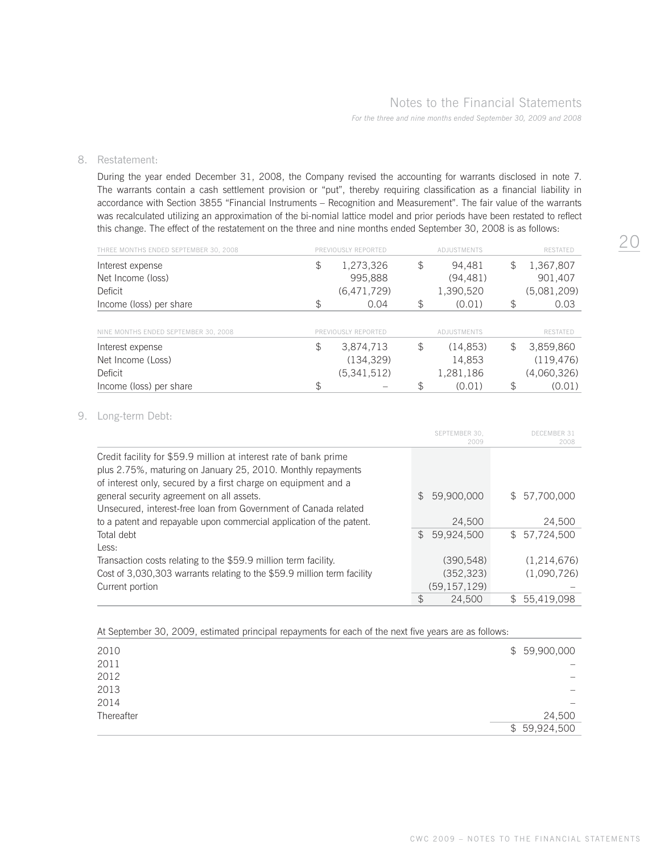## Notes to the Financial Statements

*For the three and nine months ended September 30, 2009 and 2008*

## 8. Restatement:

 During the year ended December 31, 2008, the Company revised the accounting for warrants disclosed in note 7. The warrants contain a cash settlement provision or "put", thereby requiring classification as a financial liability in accordance with Section 3855 "Financial Instruments – Recognition and Measurement". The fair value of the warrants was recalculated utilizing an approximation of the bi-nomial lattice model and prior periods have been restated to reflect this change. The effect of the restatement on the three and nine months ended September 30, 2008 is as follows:

| THREE MONTHS ENDED SEPTEMBER 30, 2008 | PREVIOUSLY REPORTED | ADJUSTMENTS     | <b>RESTATED</b> |
|---------------------------------------|---------------------|-----------------|-----------------|
| Interest expense                      | \$<br>1,273,326     | \$<br>94,481    | \$<br>1,367,807 |
| Net Income (loss)                     | 995,888             | (94, 481)       | 901,407         |
| Deficit                               | (6,471,729)         | 1,390,520       | (5,081,209)     |
| Income (loss) per share               | \$<br>0.04          | \$<br>(0.01)    | \$<br>0.03      |
|                                       |                     |                 |                 |
| NINE MONTHS ENDED SEPTEMBER 30, 2008  | PREVIOUSLY REPORTED | ADJUSTMENTS     | <b>RESTATED</b> |
| Interest expense                      | \$<br>3,874,713     | \$<br>(14, 853) | \$<br>3,859,860 |
| Net Income (Loss)                     | (134, 329)          | 14,853          | (119, 476)      |
| Deficit                               | (5,341,512)         | 1,281,186       | (4,060,326)     |
| Income (loss) per share               | \$                  | \$<br>(0.01)    | \$<br>(0.01)    |

## 9. Long-term Debt:

|                                                                                                                                                                                                     |               | SEPTEMBER 30,<br>2009 |              | DECEMBER 31<br>2008 |
|-----------------------------------------------------------------------------------------------------------------------------------------------------------------------------------------------------|---------------|-----------------------|--------------|---------------------|
| Credit facility for \$59.9 million at interest rate of bank prime<br>plus 2.75%, maturing on January 25, 2010. Monthly repayments<br>of interest only, secured by a first charge on equipment and a |               |                       |              |                     |
| general security agreement on all assets.                                                                                                                                                           | $\mathcal{F}$ | 59.900.000            |              | \$ 57,700,000       |
| Unsecured, interest-free loan from Government of Canada related                                                                                                                                     |               |                       |              |                     |
| to a patent and repayable upon commercial application of the patent.                                                                                                                                |               | 24,500                |              | 24.500              |
| Total debt<br>Less:                                                                                                                                                                                 | $\mathcal{S}$ | 59,924,500            |              | \$57,724,500        |
| Transaction costs relating to the \$59.9 million term facility.                                                                                                                                     |               | (390, 548)            |              | (1.214.676)         |
| Cost of 3,030,303 warrants relating to the \$59.9 million term facility                                                                                                                             |               | (352, 323)            |              | (1,090,726)         |
| Current portion                                                                                                                                                                                     |               | (59, 157, 129)        |              |                     |
|                                                                                                                                                                                                     | \$            | 24.500                | $\mathbb{S}$ | 55,419,098          |

At September 30, 2009, estimated principal repayments for each of the next five years are as follows:

| 2010       | \$59,900,000             |
|------------|--------------------------|
| 2011       | -                        |
| 2012       | $\overline{\phantom{m}}$ |
| 2013       | $\overline{\phantom{m}}$ |
| 2014       | $\overline{\phantom{m}}$ |
| Thereafter | 24,500                   |
|            | \$59,924,500             |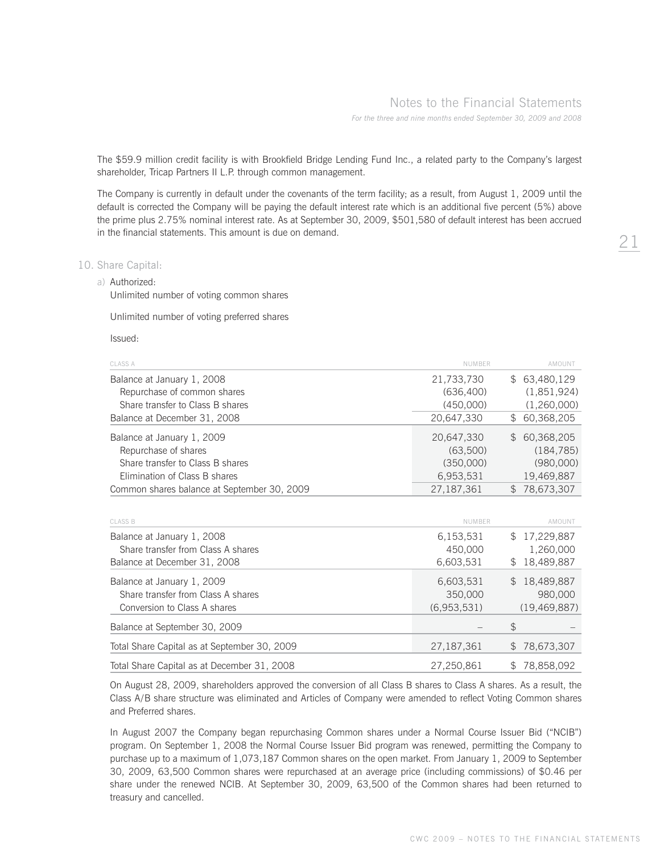The \$59.9 million credit facility is with Brookfield Bridge Lending Fund Inc., a related party to the Company's largest shareholder, Tricap Partners II L.P. through common management.

 The Company is currently in default under the covenants of the term facility; as a result, from August 1, 2009 until the default is corrected the Company will be paying the default interest rate which is an additional five percent (5%) above the prime plus 2.75% nominal interest rate. As at September 30, 2009, \$501,580 of default interest has been accrued in the financial statements. This amount is due on demand.

## 10. Share Capital:

a) Authorized:

Unlimited number of voting common shares

Unlimited number of voting preferred shares

Issued:

| CLASS A                                     | <b>NUMBER</b> | AMOUNT                     |
|---------------------------------------------|---------------|----------------------------|
| Balance at January 1, 2008                  | 21,733,730    | \$63,480,129               |
| Repurchase of common shares                 | (636, 400)    | (1,851,924)                |
| Share transfer to Class B shares            | (450,000)     | (1,260,000)                |
| Balance at December 31, 2008                | 20,647,330    | \$60,368,205               |
| Balance at January 1, 2009                  | 20,647,330    | \$60,368,205               |
| Repurchase of shares                        | (63,500)      | (184, 785)                 |
| Share transfer to Class B shares            | (350,000)     | (980,000)                  |
| Elimination of Class B shares               | 6,953,531     | 19,469,887                 |
| Common shares balance at September 30, 2009 | 27, 187, 361  | 78,673,307<br>$\mathbb{S}$ |

| <b>CLASS B</b>                               | <b>NUMBER</b> | AMOUNT                     |
|----------------------------------------------|---------------|----------------------------|
| Balance at January 1, 2008                   | 6,153,531     | \$17,229,887               |
| Share transfer from Class A shares           | 450,000       | 1,260,000                  |
| Balance at December 31, 2008                 | 6,603,531     | 18,489,887<br>S.           |
| Balance at January 1, 2009                   | 6,603,531     | 18,489,887<br>$\mathbb{S}$ |
| Share transfer from Class A shares           | 350,000       | 980,000                    |
| Conversion to Class A shares                 | (6.953.531)   | (19, 469, 887)             |
| Balance at September 30, 2009                |               | \$                         |
| Total Share Capital as at September 30, 2009 | 27, 187, 361  | \$78,673,307               |
| Total Share Capital as at December 31, 2008  | 27.250.861    | 78.858.092<br>\$.          |

 On August 28, 2009, shareholders approved the conversion of all Class B shares to Class A shares. As a result, the Class A/B share structure was eliminated and Articles of Company were amended to reflect Voting Common shares and Preferred shares.

 In August 2007 the Company began repurchasing Common shares under a Normal Course Issuer Bid ("NCIB") program. On September 1, 2008 the Normal Course Issuer Bid program was renewed, permitting the Company to purchase up to a maximum of 1,073,187 Common shares on the open market. From January 1, 2009 to September 30, 2009, 63,500 Common shares were repurchased at an average price (including commissions) of \$0.46 per share under the renewed NCIB. At September 30, 2009, 63,500 of the Common shares had been returned to treasury and cancelled.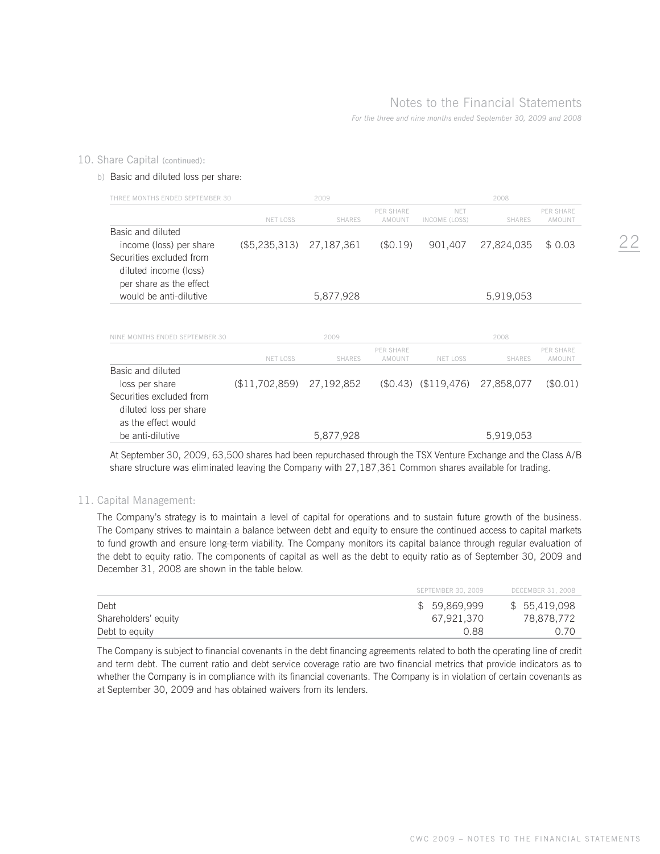## 10. Share Capital (continued):

## b) Basic and diluted loss per share:

| THREE MONTHS ENDED SEPTEMBER 30 |                 | 2009          |                            |                        | 2008          |                                   |
|---------------------------------|-----------------|---------------|----------------------------|------------------------|---------------|-----------------------------------|
|                                 | <b>NET LOSS</b> | <b>SHARES</b> | <b>PER SHARE</b><br>AMOUNT | NFT<br>INCOME (LOSS)   | <b>SHARES</b> | <b>PER SHARE</b><br>AMOUNT        |
| Basic and diluted               |                 |               |                            |                        |               |                                   |
| income (loss) per share         | (\$5,235,313)   | 27,187,361    | (S0.19)                    | 901,407                | 27,824,035    | \$0.03                            |
| Securities excluded from        |                 |               |                            |                        |               |                                   |
| diluted income (loss)           |                 |               |                            |                        |               |                                   |
| per share as the effect         |                 |               |                            |                        |               |                                   |
| would be anti-dilutive          |                 | 5,877,928     |                            |                        | 5,919,053     |                                   |
| NINE MONTHS ENDED SEPTEMBER 30  |                 | 2009          |                            |                        | 2008          |                                   |
|                                 |                 |               |                            |                        |               |                                   |
|                                 | <b>NET LOSS</b> | <b>SHARES</b> | <b>PER SHARE</b><br>AMOUNT | <b>NET LOSS</b>        | <b>SHARES</b> | <b>PER SHARE</b><br><b>AMOUNT</b> |
| Basic and diluted               |                 |               |                            |                        |               |                                   |
| loss per share                  | (\$11,702,859)  | 27,192,852    |                            | $($0.43)$ $($119,476)$ | 27,858,077    | (\$0.01)                          |
| Securities excluded from        |                 |               |                            |                        |               |                                   |
| diluted loss per share          |                 |               |                            |                        |               |                                   |
| as the effect would             |                 |               |                            |                        |               |                                   |
| be anti-dilutive                |                 | 5,877,928     |                            |                        | 5,919,053     |                                   |

 At September 30, 2009, 63,500 shares had been repurchased through the TSX Venture Exchange and the Class A/B share structure was eliminated leaving the Company with 27,187,361 Common shares available for trading.

## 11. Capital Management:

 The Company's strategy is to maintain a level of capital for operations and to sustain future growth of the business. The Company strives to maintain a balance between debt and equity to ensure the continued access to capital markets to fund growth and ensure long-term viability. The Company monitors its capital balance through regular evaluation of the debt to equity ratio. The components of capital as well as the debt to equity ratio as of September 30, 2009 and December 31, 2008 are shown in the table below.

|                      | SEPTEMBER 30, 2009 | DECEMBER 31, 2008 |
|----------------------|--------------------|-------------------|
| Debt                 | \$59.869.999       | \$55,419,098      |
| Shareholders' equity | 67,921,370         | 78,878,772        |
| Debt to equity       | 0.88               |                   |

 The Company is subject to financial covenants in the debt financing agreements related to both the operating line of credit and term debt. The current ratio and debt service coverage ratio are two financial metrics that provide indicators as to whether the Company is in compliance with its financial covenants. The Company is in violation of certain covenants as at September 30, 2009 and has obtained waivers from its lenders.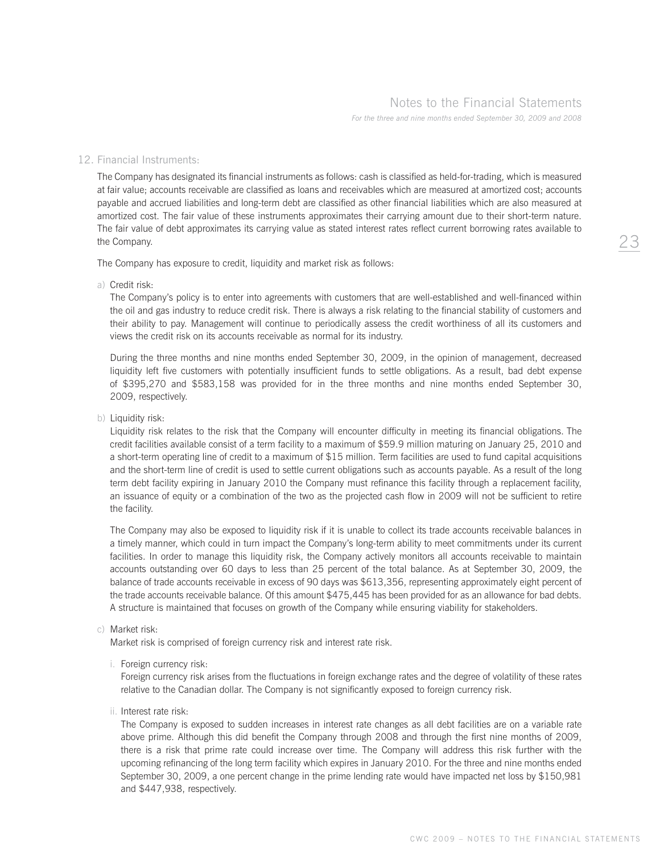## Notes to the Financial Statements

*For the three and nine months ended September 30, 2009 and 2008*

## 12. Financial Instruments:

 The Company has designated its financial instruments as follows: cash is classified as held-for-trading, which is measured at fair value; accounts receivable are classified as loans and receivables which are measured at amortized cost; accounts payable and accrued liabilities and long-term debt are classified as other financial liabilities which are also measured at amortized cost. The fair value of these instruments approximates their carrying amount due to their short-term nature. The fair value of debt approximates its carrying value as stated interest rates reflect current borrowing rates available to the Company.

The Company has exposure to credit, liquidity and market risk as follows:

a) Credit risk:

 The Company's policy is to enter into agreements with customers that are well-established and well-financed within the oil and gas industry to reduce credit risk. There is always a risk relating to the financial stability of customers and their ability to pay. Management will continue to periodically assess the credit worthiness of all its customers and views the credit risk on its accounts receivable as normal for its industry.

 During the three months and nine months ended September 30, 2009, in the opinion of management, decreased liquidity left five customers with potentially insufficient funds to settle obligations. As a result, bad debt expense of \$395,270 and \$583,158 was provided for in the three months and nine months ended September 30, 2009, respectively.

b) Liquidity risk:

 Liquidity risk relates to the risk that the Company will encounter difficulty in meeting its financial obligations. The credit facilities available consist of a term facility to a maximum of \$59.9 million maturing on January 25, 2010 and a short-term operating line of credit to a maximum of \$15 million. Term facilities are used to fund capital acquisitions and the short-term line of credit is used to settle current obligations such as accounts payable. As a result of the long term debt facility expiring in January 2010 the Company must refinance this facility through a replacement facility, an issuance of equity or a combination of the two as the projected cash flow in 2009 will not be sufficient to retire the facility.

 The Company may also be exposed to liquidity risk if it is unable to collect its trade accounts receivable balances in a timely manner, which could in turn impact the Company's long-term ability to meet commitments under its current facilities. In order to manage this liquidity risk, the Company actively monitors all accounts receivable to maintain accounts outstanding over 60 days to less than 25 percent of the total balance. As at September 30, 2009, the balance of trade accounts receivable in excess of 90 days was \$613,356, representing approximately eight percent of the trade accounts receivable balance. Of this amount \$475,445 has been provided for as an allowance for bad debts. A structure is maintained that focuses on growth of the Company while ensuring viability for stakeholders.

#### c) Market risk:

Market risk is comprised of foreign currency risk and interest rate risk.

i. Foreign currency risk:

 Foreign currency risk arises from the fluctuations in foreign exchange rates and the degree of volatility of these rates relative to the Canadian dollar. The Company is not significantly exposed to foreign currency risk.

ii. Interest rate risk:

 The Company is exposed to sudden increases in interest rate changes as all debt facilities are on a variable rate above prime. Although this did benefit the Company through 2008 and through the first nine months of 2009, there is a risk that prime rate could increase over time. The Company will address this risk further with the upcoming refinancing of the long term facility which expires in January 2010. For the three and nine months ended September 30, 2009, a one percent change in the prime lending rate would have impacted net loss by \$150,981 and \$447,938, respectively.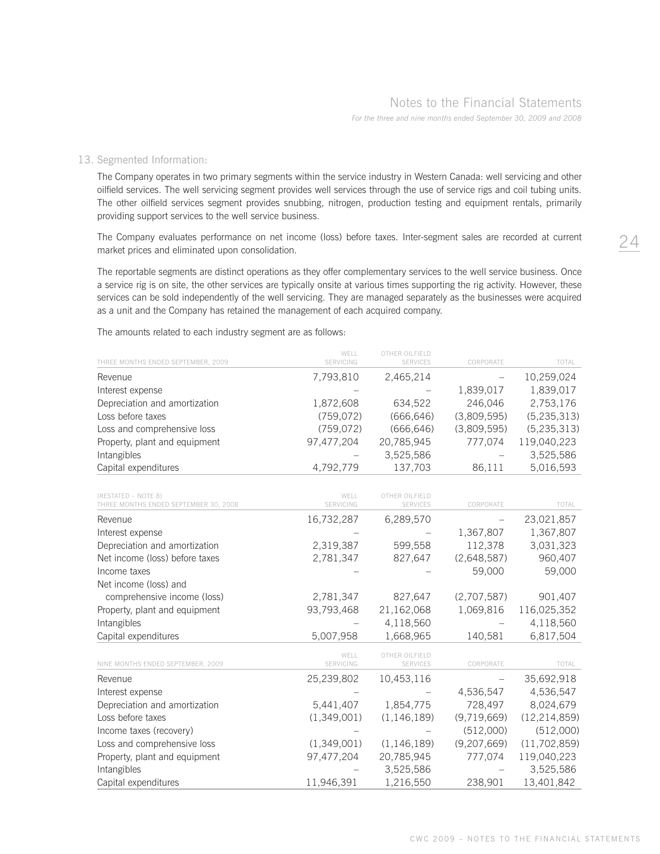## Notes to the Financial Statements

*For the three and nine months ended September 30, 2009 and 2008*

## 13. Segmented Information:

 The Company operates in two primary segments within the service industry in Western Canada: well servicing and other oilfield services. The well servicing segment provides well services through the use of service rigs and coil tubing units. The other oilfield services segment provides snubbing, nitrogen, production testing and equipment rentals, primarily providing support services to the well service business.

 The Company evaluates performance on net income (loss) before taxes. Inter-segment sales are recorded at current market prices and eliminated upon consolidation.

 The reportable segments are distinct operations as they offer complementary services to the well service business. Once a service rig is on site, the other services are typically onsite at various times supporting the rig activity. However, these services can be sold independently of the well servicing. They are managed separately as the businesses were acquired as a unit and the Company has retained the management of each acquired company.

The amounts related to each industry segment are as follows:

| THREE MONTHS ENDED SEPTEMBER, 2009                           | WELL<br>SERVICING | OTHER OILFIELD<br><b>SERVICES</b> | CORPORATE         | TOTAL          |
|--------------------------------------------------------------|-------------------|-----------------------------------|-------------------|----------------|
| Revenue                                                      | 7,793,810         | 2,465,214                         |                   | 10,259,024     |
| Interest expense                                             |                   |                                   | 1,839,017         | 1,839,017      |
| Depreciation and amortization                                | 1,872,608         | 634,522                           | 246,046           | 2,753,176      |
| Loss before taxes                                            | (759, 072)        | (666, 646)                        | (3,809,595)       | (5, 235, 313)  |
| Loss and comprehensive loss                                  | (759, 072)        | (666, 646)                        | (3,809,595)       | (5, 235, 313)  |
| Property, plant and equipment                                | 97,477,204        | 20,785,945                        | 777,074           | 119,040,223    |
| Intangibles                                                  |                   | 3,525,586                         |                   | 3,525,586      |
| Capital expenditures                                         | 4,792,779         | 137,703                           | 86,111            | 5,016,593      |
| (RESTATED - NOTE 8)<br>THREE MONTHS ENDED SEPTEMBER 30, 2008 | WELL<br>SERVICING | OTHER OILFIELD<br><b>SERVICES</b> | CORPORATE         | TOTAL          |
| Revenue                                                      | 16,732,287        | 6,289,570                         |                   | 23,021,857     |
| Interest expense                                             |                   |                                   | 1,367,807         | 1,367,807      |
| Depreciation and amortization                                | 2,319,387         | 599,558                           | 112,378           | 3,031,323      |
| Net income (loss) before taxes                               | 2,781,347         | 827,647                           | (2,648,587)       | 960,407        |
| Income taxes                                                 |                   |                                   | 59,000            | 59,000         |
| Net income (loss) and                                        |                   |                                   |                   |                |
| comprehensive income (loss)                                  | 2,781,347         | 827,647                           | (2,707,587)       | 901,407        |
| Property, plant and equipment                                | 93,793,468        | 21,162,068                        | 1,069,816         | 116,025,352    |
| Intangibles                                                  |                   | 4,118,560                         |                   | 4,118,560      |
| Capital expenditures                                         | 5,007,958         | 1,668,965                         | 140,581           | 6,817,504      |
| NINE MONTHS ENDED SEPTEMBER, 2009                            | WELL<br>SERVICING | OTHER OILFIELD<br>SERVICES        | CORPORATE         | TOTAL          |
| Revenue                                                      | 25,239,802        | 10,453,116                        | $\qquad \qquad -$ | 35,692,918     |
| Interest expense                                             |                   |                                   | 4,536,547         | 4,536,547      |
| Depreciation and amortization                                | 5,441,407         | 1,854,775                         | 728,497           | 8,024,679      |
| Loss before taxes                                            | (1,349,001)       | (1, 146, 189)                     | (9,719,669)       | (12, 214, 859) |
| Income taxes (recovery)                                      |                   |                                   | (512,000)         | (512,000)      |
| Loss and comprehensive loss                                  | (1,349,001)       | (1, 146, 189)                     | (9,207,669)       | (11, 702, 859) |
| Property, plant and equipment                                | 97,477,204        | 20,785,945                        | 777,074           | 119,040,223    |
| Intangibles                                                  |                   | 3,525,586                         |                   | 3,525,586      |
| Capital expenditures                                         | 11,946,391        | 1,216,550                         | 238,901           | 13,401,842     |